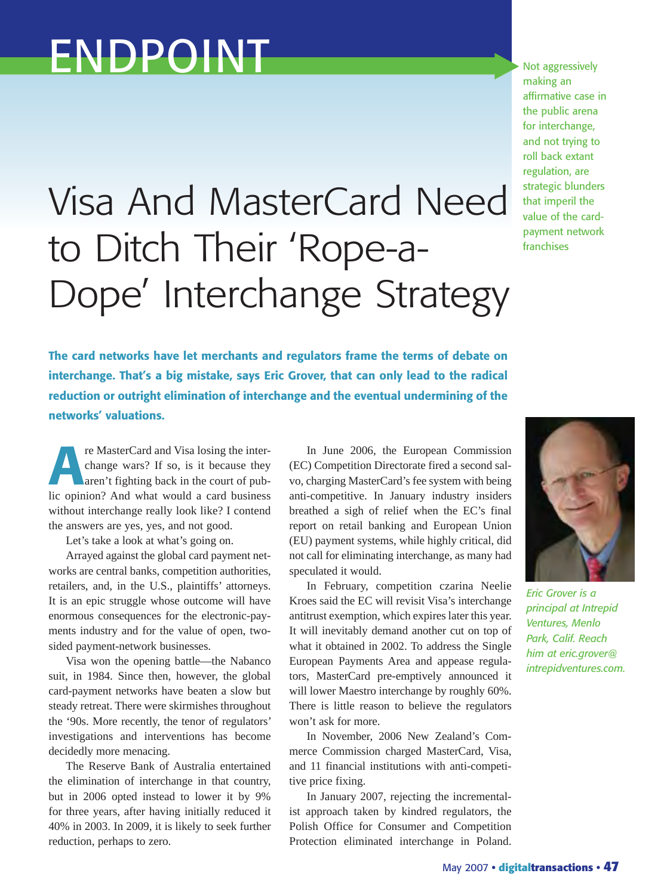## ENDPOINT

## Visa And MasterCard Need to Ditch Their 'Rope-a-Dope' Interchange Strategy

Not aggressively making an affirmative case in the public arena for interchange, and not trying to roll back extant regulation, are strategic blunders that imperil the value of the cardpayment network franchises

**The card networks have let merchants and regulators frame the terms of debate on interchange. That's a big mistake, says Eric Grover, that can only lead to the radical reduction or outright elimination of interchange and the eventual undermining of the networks' valuations.**

**A**re MasterCard and Visa losing the inter-<br>change wars? If so, is it because they<br>aren't fighting back in the court of pub-<br>lic opinion? And what would a card business change wars? If so, is it because they aren't fighting back in the court of public opinion? And what would a card business without interchange really look like? I contend the answers are yes, yes, and not good.

Let's take a look at what's going on.

Arrayed against the global card payment networks are central banks, competition authorities, retailers, and, in the U.S., plaintiffs' attorneys. It is an epic struggle whose outcome will have enormous consequences for the electronic-payments industry and for the value of open, twosided payment-network businesses.

Visa won the opening battle—the Nabanco suit, in 1984. Since then, however, the global card-payment networks have beaten a slow but steady retreat. There were skirmishes throughout the '90s. More recently, the tenor of regulators' investigations and interventions has become decidedly more menacing.

The Reserve Bank of Australia entertained the elimination of interchange in that country, but in 2006 opted instead to lower it by 9% for three years, after having initially reduced it 40% in 2003. In 2009, it is likely to seek further reduction, perhaps to zero.

In June 2006, the European Commission (EC) Competition Directorate fired a second salvo, charging MasterCard's fee system with being anti-competitive. In January industry insiders breathed a sigh of relief when the EC's final report on retail banking and European Union (EU) payment systems, while highly critical, did not call for eliminating interchange, as many had speculated it would.

In February, competition czarina Neelie Kroes said the EC will revisit Visa's interchange antitrust exemption, which expires later this year. It will inevitably demand another cut on top of what it obtained in 2002. To address the Single European Payments Area and appease regulators, MasterCard pre-emptively announced it will lower Maestro interchange by roughly 60%. There is little reason to believe the regulators won't ask for more.

In November, 2006 New Zealand's Commerce Commission charged MasterCard, Visa, and 11 financial institutions with anti-competitive price fixing.

In January 2007, rejecting the incrementalist approach taken by kindred regulators, the Polish Office for Consumer and Competition Protection eliminated interchange in Poland.



*Eric Grover is a principal at Intrepid Ventures, Menlo Park, Calif. Reach him at eric.grover@ intrepidventures.com.*